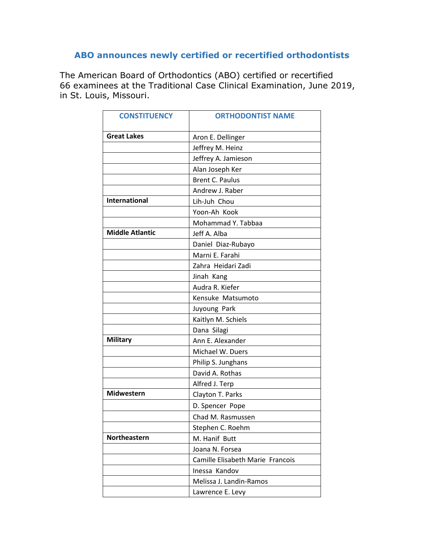## **ABO announces newly certified or recertified orthodontists**

The American Board of Orthodontics (ABO) certified or recertified 66 examinees at the Traditional Case Clinical Examination, June 2019, in St. Louis, Missouri.

| <b>CONSTITUENCY</b>    | <b>ORTHODONTIST NAME</b>         |
|------------------------|----------------------------------|
| <b>Great Lakes</b>     | Aron E. Dellinger                |
|                        | Jeffrey M. Heinz                 |
|                        | Jeffrey A. Jamieson              |
|                        | Alan Joseph Ker                  |
|                        | <b>Brent C. Paulus</b>           |
|                        | Andrew J. Raber                  |
| <b>International</b>   | Lih-Juh Chou                     |
|                        | Yoon-Ah Kook                     |
|                        | Mohammad Y. Tabbaa               |
| <b>Middle Atlantic</b> | Jeff A. Alba                     |
|                        | Daniel Diaz-Rubayo               |
|                        | Marni E. Farahi                  |
|                        | Zahra Heidari Zadi               |
|                        | Jinah Kang                       |
|                        | Audra R. Kiefer                  |
|                        | Kensuke Matsumoto                |
|                        | Juyoung Park                     |
|                        | Kaitlyn M. Schiels               |
|                        | Dana Silagi                      |
| <b>Military</b>        | Ann E. Alexander                 |
|                        | Michael W. Duers                 |
|                        | Philip S. Junghans               |
|                        | David A. Rothas                  |
|                        | Alfred J. Terp                   |
| Midwestern             | Clayton T. Parks                 |
|                        | D. Spencer Pope                  |
|                        | Chad M. Rasmussen                |
|                        | Stephen C. Roehm                 |
| Northeastern           | M. Hanif Butt                    |
|                        | Joana N. Forsea                  |
|                        | Camille Elisabeth Marie Francois |
|                        | Inessa Kandov                    |
|                        | Melissa J. Landin-Ramos          |
|                        | Lawrence E. Levy                 |